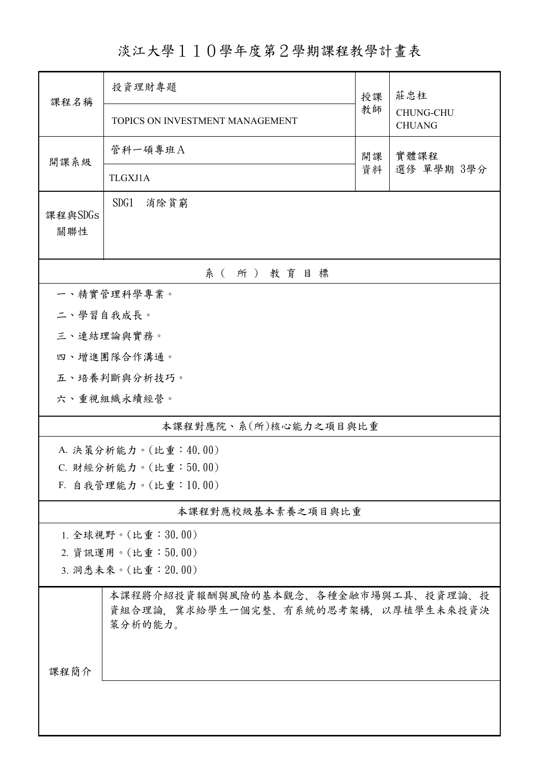## 淡江大學110學年度第2學期課程教學計畫表

| 課程名稱                  | 投資理財專題                                                                                |    | 莊忠柱<br><b>CHUNG-CHU</b> |  |  |  |  |
|-----------------------|---------------------------------------------------------------------------------------|----|-------------------------|--|--|--|--|
|                       | TOPICS ON INVESTMENT MANAGEMENT                                                       |    | <b>CHUANG</b>           |  |  |  |  |
| 開課系級                  | 管科一碩專班A<br>實體課程<br>開課                                                                 |    |                         |  |  |  |  |
|                       | TLGXJ1A                                                                               | 資料 | 選修 單學期 3學分              |  |  |  |  |
| 課程與SDGs<br>關聯性        | SDG1<br>消除貧窮                                                                          |    |                         |  |  |  |  |
| 系(所)教育目標              |                                                                                       |    |                         |  |  |  |  |
|                       | 一、精實管理科學專業。                                                                           |    |                         |  |  |  |  |
| 二、學習自我成長。             |                                                                                       |    |                         |  |  |  |  |
|                       | 三、連結理論與實務。                                                                            |    |                         |  |  |  |  |
|                       | 四、增進團隊合作溝通。                                                                           |    |                         |  |  |  |  |
|                       | 五、培養判斷與分析技巧。                                                                          |    |                         |  |  |  |  |
|                       | 六、重視組織永續經營。                                                                           |    |                         |  |  |  |  |
| 本課程對應院、系(所)核心能力之項目與比重 |                                                                                       |    |                         |  |  |  |  |
|                       | A. 決策分析能力。(比重: 40.00)                                                                 |    |                         |  |  |  |  |
|                       | C. 財經分析能力。(比重:50.00)                                                                  |    |                         |  |  |  |  |
|                       | F. 自我管理能力。(比重:10.00)                                                                  |    |                         |  |  |  |  |
|                       | 本課程對應校級基本素養之項目與比重                                                                     |    |                         |  |  |  |  |
|                       | 1. 全球視野。(比重:30.00)                                                                    |    |                         |  |  |  |  |
|                       | 2. 資訊運用。(比重:50.00)                                                                    |    |                         |  |  |  |  |
| 3. 洞悉未來。(比重: 20.00)   |                                                                                       |    |                         |  |  |  |  |
| 課程簡介                  | 本課程將介紹投資報酬與風險的基本觀念、各種金融市場與工具、投資理論、投<br>資組合理論,冀求給學生一個完整、有系統的思考架構,以厚植學生未來投資決<br>策分析的能力。 |    |                         |  |  |  |  |
|                       |                                                                                       |    |                         |  |  |  |  |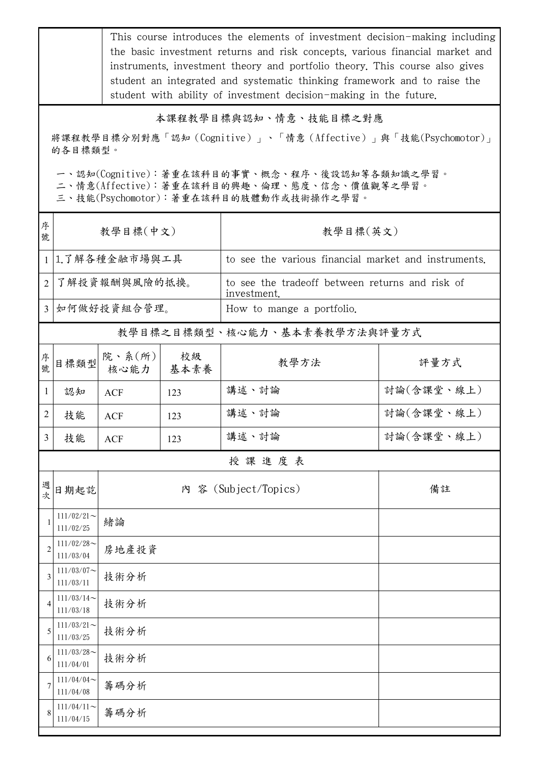This course introduces the elements of investment decision-making including the basic investment returns and risk concepts, various financial market and instruments, investment theory and portfolio theory. This course also gives student an integrated and systematic thinking framework and to raise the student with ability of investment decision-making in the future.

## 本課程教學目標與認知、情意、技能目標之對應

將課程教學目標分別對應「認知(Cognitive)」、「情意(Affective)」與「技能(Psychomotor)」 的各目標類型。

一、認知(Cognitive):著重在該科目的事實、概念、程序、後設認知等各類知識之學習。

二、情意(Affective):著重在該科目的興趣、倫理、態度、信念、價值觀等之學習。

三、技能(Psychomotor):著重在該科目的肢體動作或技術操作之學習。

| 序<br>號         | 教學目標(中文)                   |                |            | 教學目標(英文)                                                       |            |  |  |
|----------------|----------------------------|----------------|------------|----------------------------------------------------------------|------------|--|--|
| $\mathbf{1}$   | 1.了解各種金融市場與工具              |                |            | to see the various financial market and instruments.           |            |  |  |
| $\overline{2}$ | 了解投資報酬與風險的抵換。              |                |            | to see the tradeoff between returns and risk of<br>investment. |            |  |  |
| $\overline{3}$ | 如何做好投資組合管理。                |                |            | How to mange a portfolio.                                      |            |  |  |
|                |                            |                |            | 教學目標之目標類型、核心能力、基本素養教學方法與評量方式                                   |            |  |  |
| 序號             | 目標類型                       | 院、系(所)<br>核心能力 | 校級<br>基本素養 | 教學方法                                                           | 評量方式       |  |  |
| $\mathbf{1}$   | 認知                         | <b>ACF</b>     | 123        | 講述、討論                                                          | 討論(含課堂、線上) |  |  |
| 2              | 技能                         | ACF            | 123        | 講述、討論                                                          | 討論(含課堂、線上) |  |  |
| 3              | 技能                         | <b>ACF</b>     | 123        | 講述、討論                                                          | 討論(含課堂、線上) |  |  |
|                | 授課進度表                      |                |            |                                                                |            |  |  |
| 週次             | 日期起訖                       |                |            | 內 容 (Subject/Topics)                                           | 備註         |  |  |
|                | $111/02/21$ ~<br>111/02/25 | 緒論             |            |                                                                |            |  |  |
| $\overline{2}$ | $111/02/28$ ~<br>111/03/04 | 房地產投資          |            |                                                                |            |  |  |
| 3              | $111/03/07$ ~<br>111/03/11 | 技術分析           |            |                                                                |            |  |  |
|                | $111/03/14$ ~<br>111/03/18 | 技術分析           |            |                                                                |            |  |  |
| 5              | $111/03/21$ ~<br>111/03/25 | 技術分析           |            |                                                                |            |  |  |
| 6              | $111/03/28$ ~<br>111/04/01 | 技術分析           |            |                                                                |            |  |  |
| 7              | $111/04/04$ ~<br>111/04/08 | 籌碼分析           |            |                                                                |            |  |  |
| 8              | $111/04/11$ ~<br>111/04/15 | 籌碼分析           |            |                                                                |            |  |  |